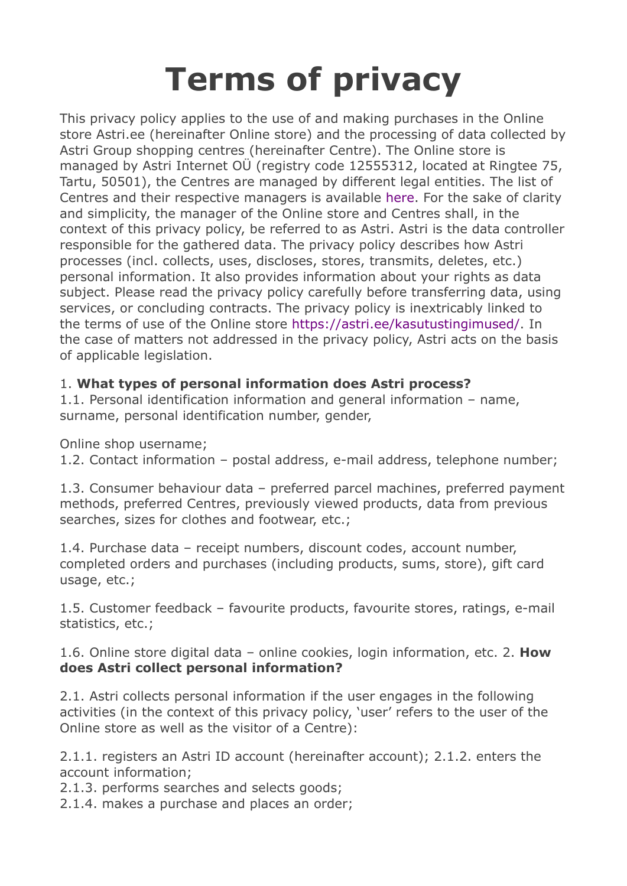# **Terms of privacy**

This privacy policy applies to the use of and making purchases in the Online store Astri.ee (hereinafter Online store) and the processing of data collected by Astri Group shopping centres (hereinafter Centre). The Online store is managed by Astri Internet OÜ (registry code 12555312, located at Ringtee 75, Tartu, 50501), the Centres are managed by different legal entities. The list of Centres and their respective managers is available here. For the sake of clarity and simplicity, the manager of the Online store and Centres shall, in the context of this privacy policy, be referred to as Astri. Astri is the data controller responsible for the gathered data. The privacy policy describes how Astri processes (incl. collects, uses, discloses, stores, transmits, deletes, etc.) personal information. It also provides information about your rights as data subject. Please read the privacy policy carefully before transferring data, using services, or concluding contracts. The privacy policy is inextricably linked to the terms of use of the Online store https://astri.ee/kasutustingimused/. In the case of matters not addressed in the privacy policy, Astri acts on the basis of applicable legislation.

## 1. **What types of personal information does Astri process?**

1.1. Personal identification information and general information – name, surname, personal identification number, gender,

Online shop username;

1.2. Contact information – postal address, e-mail address, telephone number;

1.3. Consumer behaviour data – preferred parcel machines, preferred payment methods, preferred Centres, previously viewed products, data from previous searches, sizes for clothes and footwear, etc.;

1.4. Purchase data – receipt numbers, discount codes, account number, completed orders and purchases (including products, sums, store), gift card usage, etc.;

1.5. Customer feedback – favourite products, favourite stores, ratings, e-mail statistics, etc.;

1.6. Online store digital data – online cookies, login information, etc. 2. **How does Astri collect personal information?** 

2.1. Astri collects personal information if the user engages in the following activities (in the context of this privacy policy, 'user' refers to the user of the Online store as well as the visitor of a Centre):

2.1.1. registers an Astri ID account (hereinafter account); 2.1.2. enters the account information;

2.1.3. performs searches and selects goods;

2.1.4. makes a purchase and places an order;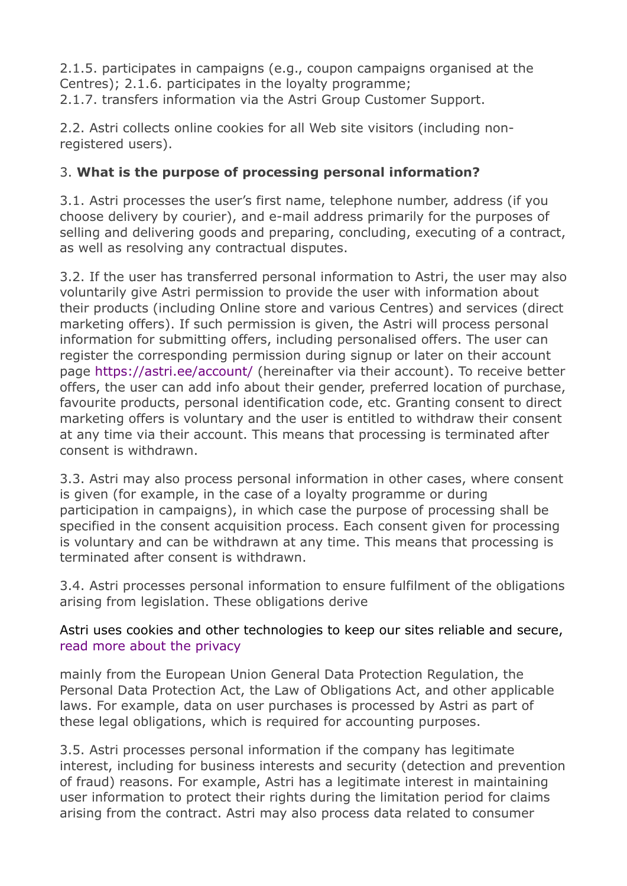2.1.5. participates in campaigns (e.g., coupon campaigns organised at the Centres); 2.1.6. participates in the loyalty programme; 2.1.7. transfers information via the Astri Group Customer Support.

2.2. Astri collects online cookies for all Web site visitors (including nonregistered users).

#### 3. **What is the purpose of processing personal information?**

3.1. Astri processes the user's first name, telephone number, address (if you choose delivery by courier), and e-mail address primarily for the purposes of selling and delivering goods and preparing, concluding, executing of a contract, as well as resolving any contractual disputes.

3.2. If the user has transferred personal information to Astri, the user may also voluntarily give Astri permission to provide the user with information about their products (including Online store and various Centres) and services (direct marketing offers). If such permission is given, the Astri will process personal information for submitting offers, including personalised offers. The user can register the corresponding permission during signup or later on their account page https://astri.ee/account/ (hereinafter via their account). To receive better offers, the user can add info about their gender, preferred location of purchase, favourite products, personal identification code, etc. Granting consent to direct marketing offers is voluntary and the user is entitled to withdraw their consent at any time via their account. This means that processing is terminated after consent is withdrawn.

3.3. Astri may also process personal information in other cases, where consent is given (for example, in the case of a loyalty programme or during participation in campaigns), in which case the purpose of processing shall be specified in the consent acquisition process. Each consent given for processing is voluntary and can be withdrawn at any time. This means that processing is terminated after consent is withdrawn.

3.4. Astri processes personal information to ensure fulfilment of the obligations arising from legislation. These obligations derive

#### Astri uses cookies and other technologies to keep our sites reliable and secure, read more about the privacy

mainly from the European Union General Data Protection Regulation, the Personal Data Protection Act, the Law of Obligations Act, and other applicable laws. For example, data on user purchases is processed by Astri as part of these legal obligations, which is required for accounting purposes.

3.5. Astri processes personal information if the company has legitimate interest, including for business interests and security (detection and prevention of fraud) reasons. For example, Astri has a legitimate interest in maintaining user information to protect their rights during the limitation period for claims arising from the contract. Astri may also process data related to consumer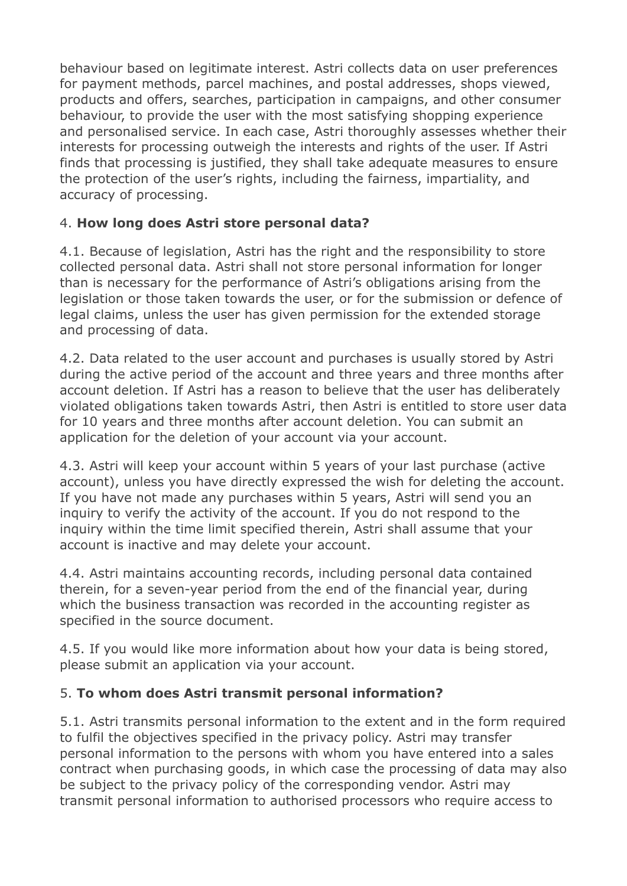behaviour based on legitimate interest. Astri collects data on user preferences for payment methods, parcel machines, and postal addresses, shops viewed, products and offers, searches, participation in campaigns, and other consumer behaviour, to provide the user with the most satisfying shopping experience and personalised service. In each case, Astri thoroughly assesses whether their interests for processing outweigh the interests and rights of the user. If Astri finds that processing is justified, they shall take adequate measures to ensure the protection of the user's rights, including the fairness, impartiality, and accuracy of processing.

## 4. **How long does Astri store personal data?**

4.1. Because of legislation, Astri has the right and the responsibility to store collected personal data. Astri shall not store personal information for longer than is necessary for the performance of Astri's obligations arising from the legislation or those taken towards the user, or for the submission or defence of legal claims, unless the user has given permission for the extended storage and processing of data.

4.2. Data related to the user account and purchases is usually stored by Astri during the active period of the account and three years and three months after account deletion. If Astri has a reason to believe that the user has deliberately violated obligations taken towards Astri, then Astri is entitled to store user data for 10 years and three months after account deletion. You can submit an application for the deletion of your account via your account.

4.3. Astri will keep your account within 5 years of your last purchase (active account), unless you have directly expressed the wish for deleting the account. If you have not made any purchases within 5 years, Astri will send you an inquiry to verify the activity of the account. If you do not respond to the inquiry within the time limit specified therein, Astri shall assume that your account is inactive and may delete your account.

4.4. Astri maintains accounting records, including personal data contained therein, for a seven-year period from the end of the financial year, during which the business transaction was recorded in the accounting register as specified in the source document.

4.5. If you would like more information about how your data is being stored, please submit an application via your account.

## 5. **To whom does Astri transmit personal information?**

5.1. Astri transmits personal information to the extent and in the form required to fulfil the objectives specified in the privacy policy. Astri may transfer personal information to the persons with whom you have entered into a sales contract when purchasing goods, in which case the processing of data may also be subject to the privacy policy of the corresponding vendor. Astri may transmit personal information to authorised processors who require access to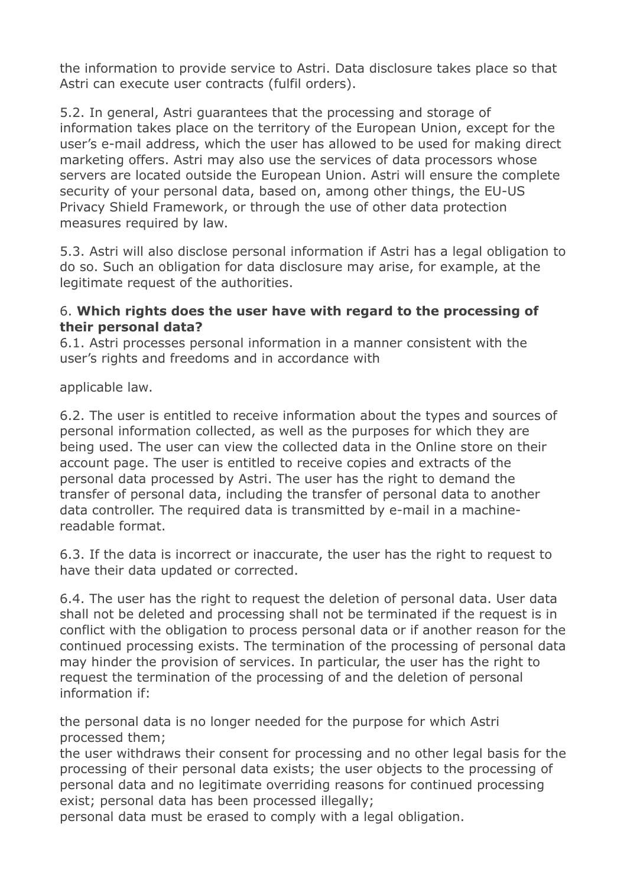the information to provide service to Astri. Data disclosure takes place so that Astri can execute user contracts (fulfil orders).

5.2. In general, Astri guarantees that the processing and storage of information takes place on the territory of the European Union, except for the user's e-mail address, which the user has allowed to be used for making direct marketing offers. Astri may also use the services of data processors whose servers are located outside the European Union. Astri will ensure the complete security of your personal data, based on, among other things, the EU-US Privacy Shield Framework, or through the use of other data protection measures required by law.

5.3. Astri will also disclose personal information if Astri has a legal obligation to do so. Such an obligation for data disclosure may arise, for example, at the legitimate request of the authorities.

#### 6. **Which rights does the user have with regard to the processing of their personal data?**

6.1. Astri processes personal information in a manner consistent with the user's rights and freedoms and in accordance with

applicable law.

6.2. The user is entitled to receive information about the types and sources of personal information collected, as well as the purposes for which they are being used. The user can view the collected data in the Online store on their account page. The user is entitled to receive copies and extracts of the personal data processed by Astri. The user has the right to demand the transfer of personal data, including the transfer of personal data to another data controller. The required data is transmitted by e-mail in a machinereadable format.

6.3. If the data is incorrect or inaccurate, the user has the right to request to have their data updated or corrected.

6.4. The user has the right to request the deletion of personal data. User data shall not be deleted and processing shall not be terminated if the request is in conflict with the obligation to process personal data or if another reason for the continued processing exists. The termination of the processing of personal data may hinder the provision of services. In particular, the user has the right to request the termination of the processing of and the deletion of personal information if:

the personal data is no longer needed for the purpose for which Astri processed them;

the user withdraws their consent for processing and no other legal basis for the processing of their personal data exists; the user objects to the processing of personal data and no legitimate overriding reasons for continued processing exist; personal data has been processed illegally;

personal data must be erased to comply with a legal obligation.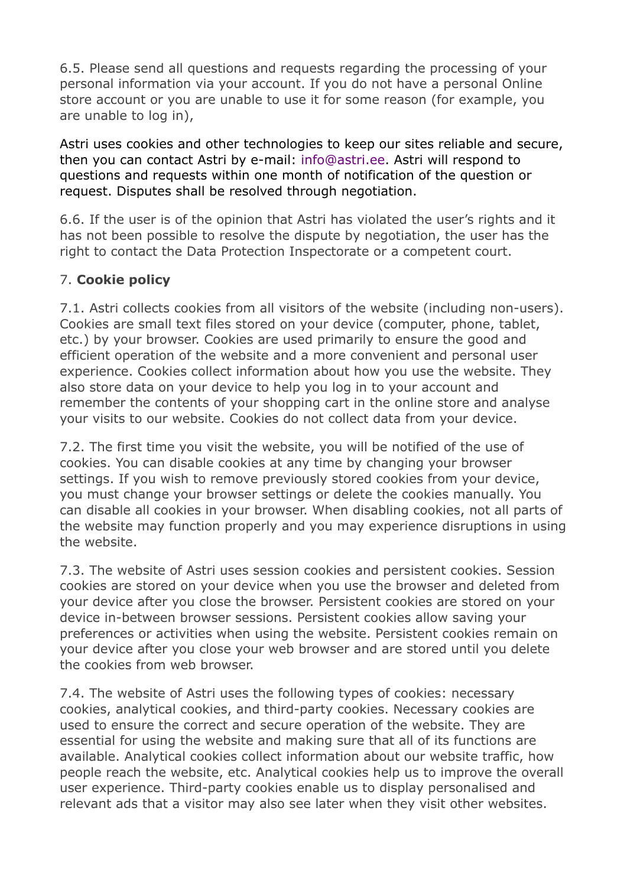6.5. Please send all questions and requests regarding the processing of your personal information via your account. If you do not have a personal Online store account or you are unable to use it for some reason (for example, you are unable to log in),

Astri uses cookies and other technologies to keep our sites reliable and secure, then you can contact Astri by e-mail: info@astri.ee. Astri will respond to questions and requests within one month of notification of the question or request. Disputes shall be resolved through negotiation.

6.6. If the user is of the opinion that Astri has violated the user's rights and it has not been possible to resolve the dispute by negotiation, the user has the right to contact the Data Protection Inspectorate or a competent court.

## 7. **Cookie policy**

7.1. Astri collects cookies from all visitors of the website (including non-users). Cookies are small text files stored on your device (computer, phone, tablet, etc.) by your browser. Cookies are used primarily to ensure the good and efficient operation of the website and a more convenient and personal user experience. Cookies collect information about how you use the website. They also store data on your device to help you log in to your account and remember the contents of your shopping cart in the online store and analyse your visits to our website. Cookies do not collect data from your device.

7.2. The first time you visit the website, you will be notified of the use of cookies. You can disable cookies at any time by changing your browser settings. If you wish to remove previously stored cookies from your device, you must change your browser settings or delete the cookies manually. You can disable all cookies in your browser. When disabling cookies, not all parts of the website may function properly and you may experience disruptions in using the website.

7.3. The website of Astri uses session cookies and persistent cookies. Session cookies are stored on your device when you use the browser and deleted from your device after you close the browser. Persistent cookies are stored on your device in-between browser sessions. Persistent cookies allow saving your preferences or activities when using the website. Persistent cookies remain on your device after you close your web browser and are stored until you delete the cookies from web browser.

7.4. The website of Astri uses the following types of cookies: necessary cookies, analytical cookies, and third-party cookies. Necessary cookies are used to ensure the correct and secure operation of the website. They are essential for using the website and making sure that all of its functions are available. Analytical cookies collect information about our website traffic, how people reach the website, etc. Analytical cookies help us to improve the overall user experience. Third-party cookies enable us to display personalised and relevant ads that a visitor may also see later when they visit other websites.